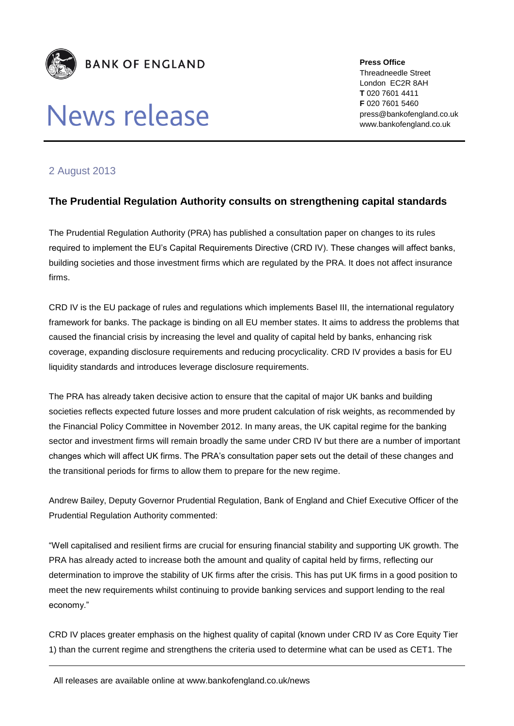

## News release

**Press Office** Threadneedle Street London EC2R 8AH **T** 020 7601 4411 **F** 020 7601 5460 press@bankofengland.co.uk www.bankofengland.co.uk

## 2 August 2013

## **The Prudential Regulation Authority consults on strengthening capital standards**

The Prudential Regulation Authority (PRA) has published a consultation paper on changes to its rules required to implement the EU's Capital Requirements Directive (CRD IV). These changes will affect banks, building societies and those investment firms which are regulated by the PRA. It does not affect insurance firms.

CRD IV is the EU package of rules and regulations which implements Basel III, the international regulatory framework for banks. The package is binding on all EU member states. It aims to address the problems that caused the financial crisis by increasing the level and quality of capital held by banks, enhancing risk coverage, expanding disclosure requirements and reducing procyclicality. CRD IV provides a basis for EU liquidity standards and introduces leverage disclosure requirements.

The PRA has already taken decisive action to ensure that the capital of major UK banks and building societies reflects expected future losses and more prudent calculation of risk weights, as recommended by the Financial Policy Committee in November 2012. In many areas, the UK capital regime for the banking sector and investment firms will remain broadly the same under CRD IV but there are a number of important changes which will affect UK firms. The PRA's consultation paper sets out the detail of these changes and the transitional periods for firms to allow them to prepare for the new regime.

Andrew Bailey, Deputy Governor Prudential Regulation, Bank of England and Chief Executive Officer of the Prudential Regulation Authority commented:

"Well capitalised and resilient firms are crucial for ensuring financial stability and supporting UK growth. The PRA has already acted to increase both the amount and quality of capital held by firms, reflecting our determination to improve the stability of UK firms after the crisis. This has put UK firms in a good position to meet the new requirements whilst continuing to provide banking services and support lending to the real economy."

CRD IV places greater emphasis on the highest quality of capital (known under CRD IV as Core Equity Tier 1) than the current regime and strengthens the criteria used to determine what can be used as CET1. The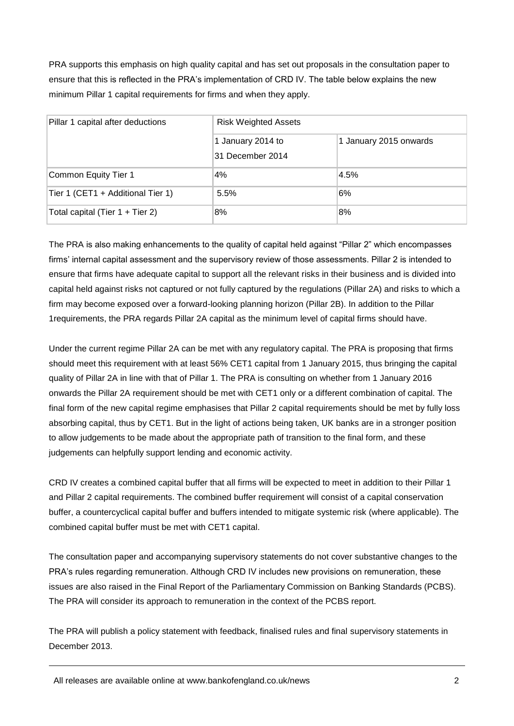PRA supports this emphasis on high quality capital and has set out proposals in the consultation paper to ensure that this is reflected in the PRA's implementation of CRD IV. The table below explains the new minimum Pillar 1 capital requirements for firms and when they apply.

| Pillar 1 capital after deductions | <b>Risk Weighted Assets</b>           |                        |
|-----------------------------------|---------------------------------------|------------------------|
|                                   | 1 January 2014 to<br>31 December 2014 | 1 January 2015 onwards |
| Common Equity Tier 1              | 4%                                    | 4.5%                   |
| Tier 1 (CET1 + Additional Tier 1) | 5.5%                                  | 6%                     |
| Total capital (Tier 1 + Tier 2)   | 8%                                    | 8%                     |

The PRA is also making enhancements to the quality of capital held against "Pillar 2" which encompasses firms' internal capital assessment and the supervisory review of those assessments. Pillar 2 is intended to ensure that firms have adequate capital to support all the relevant risks in their business and is divided into capital held against risks not captured or not fully captured by the regulations (Pillar 2A) and risks to which a firm may become exposed over a forward-looking planning horizon (Pillar 2B). In addition to the Pillar 1requirements, the PRA regards Pillar 2A capital as the minimum level of capital firms should have.

Under the current regime Pillar 2A can be met with any regulatory capital. The PRA is proposing that firms should meet this requirement with at least 56% CET1 capital from 1 January 2015, thus bringing the capital quality of Pillar 2A in line with that of Pillar 1. The PRA is consulting on whether from 1 January 2016 onwards the Pillar 2A requirement should be met with CET1 only or a different combination of capital. The final form of the new capital regime emphasises that Pillar 2 capital requirements should be met by fully loss absorbing capital, thus by CET1. But in the light of actions being taken, UK banks are in a stronger position to allow judgements to be made about the appropriate path of transition to the final form, and these judgements can helpfully support lending and economic activity.

CRD IV creates a combined capital buffer that all firms will be expected to meet in addition to their Pillar 1 and Pillar 2 capital requirements. The combined buffer requirement will consist of a capital conservation buffer, a countercyclical capital buffer and buffers intended to mitigate systemic risk (where applicable). The combined capital buffer must be met with CET1 capital.

The consultation paper and accompanying supervisory statements do not cover substantive changes to the PRA's rules regarding remuneration. Although CRD IV includes new provisions on remuneration, these issues are also raised in the Final Report of the Parliamentary Commission on Banking Standards (PCBS). The PRA will consider its approach to remuneration in the context of the PCBS report.

The PRA will publish a policy statement with feedback, finalised rules and final supervisory statements in December 2013.